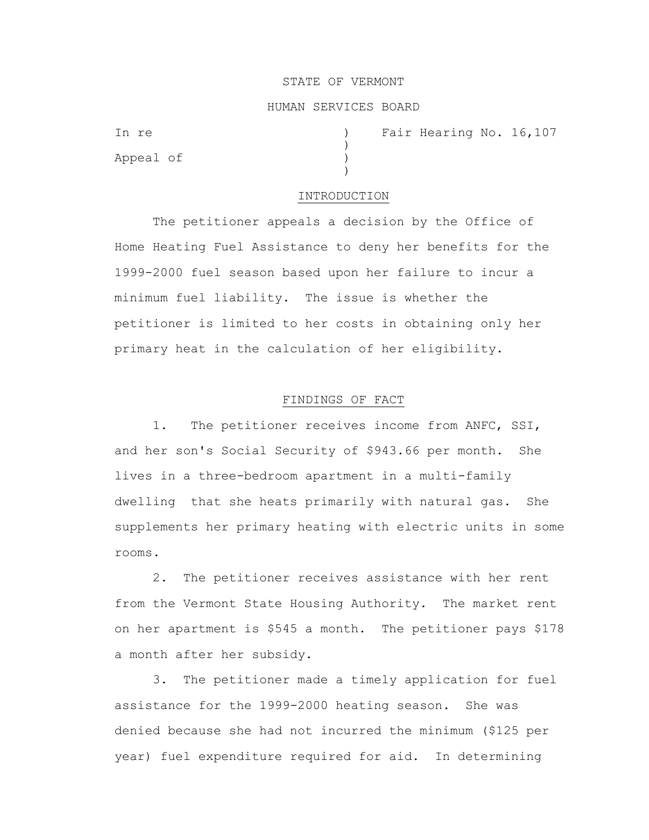#### STATE OF VERMONT

### HUMAN SERVICES BOARD

)

)

Appeal of )

In re (a) Tair Hearing No. 16,107

#### INTRODUCTION

The petitioner appeals a decision by the Office of Home Heating Fuel Assistance to deny her benefits for the 1999-2000 fuel season based upon her failure to incur a minimum fuel liability. The issue is whether the petitioner is limited to her costs in obtaining only her primary heat in the calculation of her eligibility.

# FINDINGS OF FACT

1. The petitioner receives income from ANFC, SSI, and her son's Social Security of \$943.66 per month. She lives in a three-bedroom apartment in a multi-family dwelling that she heats primarily with natural gas. She supplements her primary heating with electric units in some rooms.

2. The petitioner receives assistance with her rent from the Vermont State Housing Authority. The market rent on her apartment is \$545 a month. The petitioner pays \$178 a month after her subsidy.

3. The petitioner made a timely application for fuel assistance for the 1999-2000 heating season. She was denied because she had not incurred the minimum (\$125 per year) fuel expenditure required for aid. In determining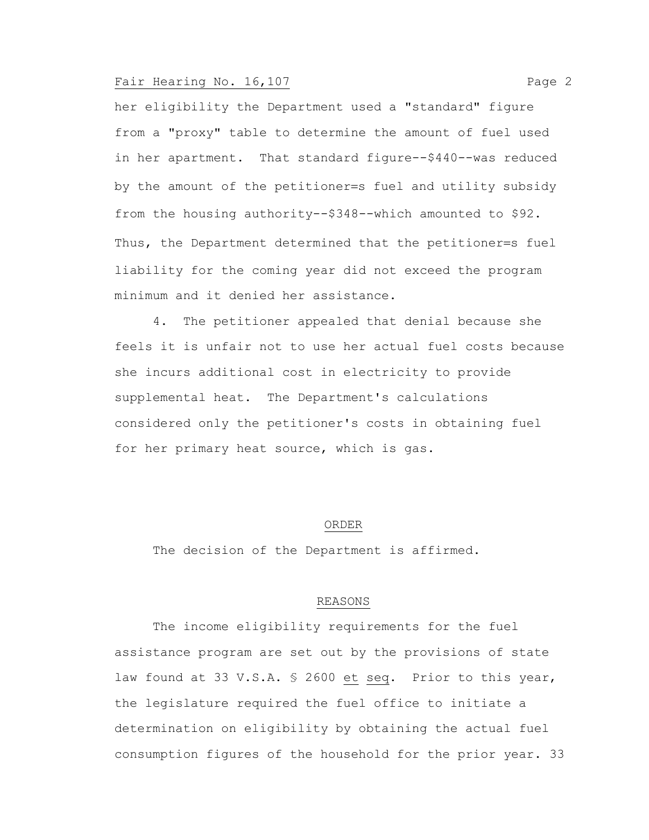# Fair Hearing No. 16,107 Page 2

her eligibility the Department used a "standard" figure from a "proxy" table to determine the amount of fuel used in her apartment. That standard figure--\$440--was reduced by the amount of the petitioner=s fuel and utility subsidy from the housing authority--\$348--which amounted to \$92. Thus, the Department determined that the petitioner=s fuel liability for the coming year did not exceed the program minimum and it denied her assistance.

4. The petitioner appealed that denial because she feels it is unfair not to use her actual fuel costs because she incurs additional cost in electricity to provide supplemental heat. The Department's calculations considered only the petitioner's costs in obtaining fuel for her primary heat source, which is gas.

#### ORDER

The decision of the Department is affirmed.

### REASONS

The income eligibility requirements for the fuel assistance program are set out by the provisions of state law found at 33 V.S.A. § 2600 et seq. Prior to this year, the legislature required the fuel office to initiate a determination on eligibility by obtaining the actual fuel consumption figures of the household for the prior year. 33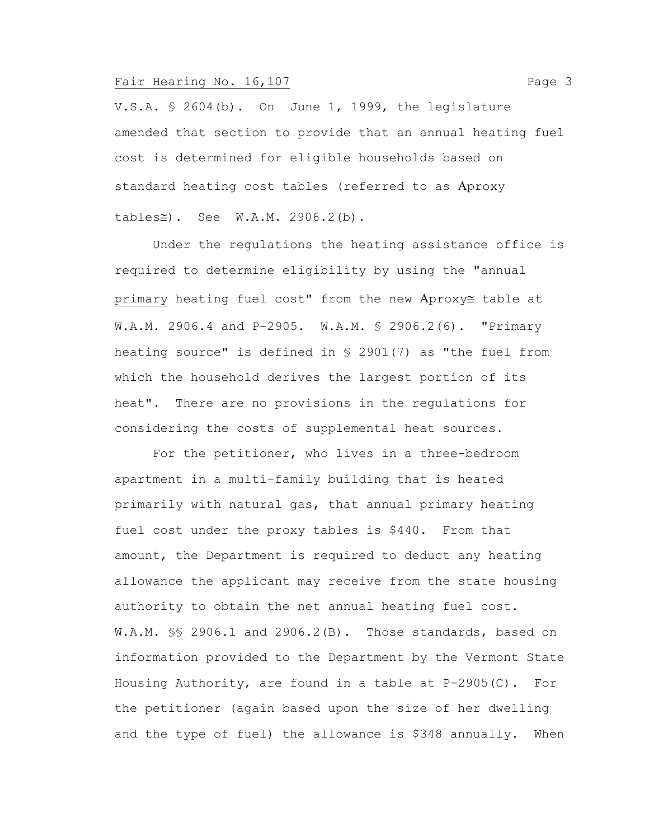# Fair Hearing No. 16,107 Page 3

V.S.A. § 2604(b). On June 1, 1999, the legislature amended that section to provide that an annual heating fuel cost is determined for eligible households based on standard heating cost tables (referred to as Aproxy  $tables \cong)$ . See W.A.M. 2906.2(b).

Under the regulations the heating assistance office is required to determine eligibility by using the "annual primary heating fuel cost" from the new Aproxy table at W.A.M. 2906.4 and P-2905. W.A.M. § 2906.2(6). "Primary heating source" is defined in § 2901(7) as "the fuel from which the household derives the largest portion of its heat". There are no provisions in the regulations for considering the costs of supplemental heat sources.

For the petitioner, who lives in a three-bedroom apartment in a multi-family building that is heated primarily with natural gas, that annual primary heating fuel cost under the proxy tables is \$440. From that amount, the Department is required to deduct any heating allowance the applicant may receive from the state housing authority to obtain the net annual heating fuel cost. W.A.M. §§ 2906.1 and 2906.2(B). Those standards, based on information provided to the Department by the Vermont State Housing Authority, are found in a table at P-2905(C). For the petitioner (again based upon the size of her dwelling and the type of fuel) the allowance is \$348 annually. When